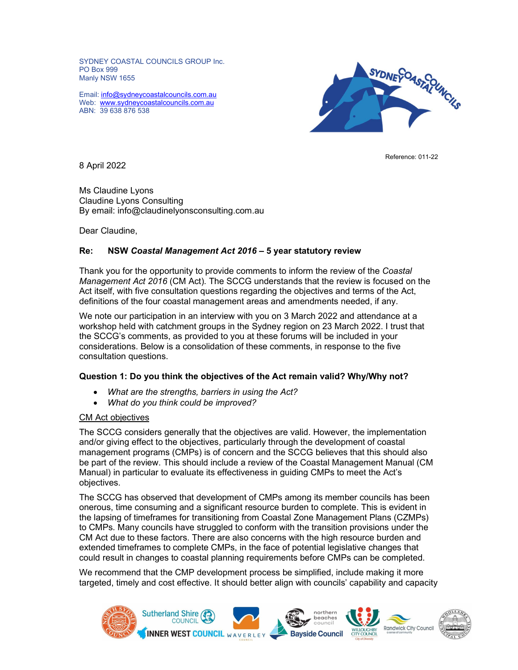SYDNEY COASTAL COUNCILS GROUP Inc. PO Box 999 Manly NSW 1655

Email: info@sydneycoastalcouncils.com.au Web: www.sydneycoastalcouncils.com.au ABN: 39 638 876 538



8 April 2022

Ms Claudine Lyons Claudine Lyons Consulting By email: info@claudinelyonsconsulting.com.au

Dear Claudine,

# Re: NSW Coastal Management Act 2016 – 5 year statutory review

Thank you for the opportunity to provide comments to inform the review of the Coastal Management Act 2016 (CM Act). The SCCG understands that the review is focused on the Act itself, with five consultation questions regarding the objectives and terms of the Act, definitions of the four coastal management areas and amendments needed, if any.

We note our participation in an interview with you on 3 March 2022 and attendance at a workshop held with catchment groups in the Sydney region on 23 March 2022. I trust that the SCCG's comments, as provided to you at these forums will be included in your considerations. Below is a consolidation of these comments, in response to the five consultation questions.

## Question 1: Do you think the objectives of the Act remain valid? Why/Why not?

- What are the strengths, barriers in using the Act?
- What do you think could be improved?

#### CM Act objectives

The SCCG considers generally that the objectives are valid. However, the implementation and/or giving effect to the objectives, particularly through the development of coastal management programs (CMPs) is of concern and the SCCG believes that this should also be part of the review. This should include a review of the Coastal Management Manual (CM Manual) in particular to evaluate its effectiveness in guiding CMPs to meet the Act's objectives.

The SCCG has observed that development of CMPs among its member councils has been onerous, time consuming and a significant resource burden to complete. This is evident in the lapsing of timeframes for transitioning from Coastal Zone Management Plans (CZMPs) to CMPs. Many councils have struggled to conform with the transition provisions under the CM Act due to these factors. There are also concerns with the high resource burden and extended timeframes to complete CMPs, in the face of potential legislative changes that could result in changes to coastal planning requirements before CMPs can be completed.

We recommend that the CMP development process be simplified, include making it more targeted, timely and cost effective. It should better align with councils' capability and capacity

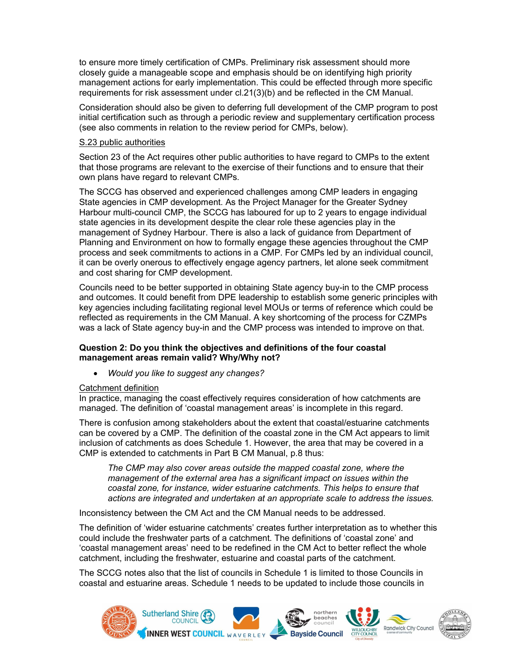to ensure more timely certification of CMPs. Preliminary risk assessment should more closely guide a manageable scope and emphasis should be on identifying high priority management actions for early implementation. This could be effected through more specific requirements for risk assessment under cl.21(3)(b) and be reflected in the CM Manual.

Consideration should also be given to deferring full development of the CMP program to post initial certification such as through a periodic review and supplementary certification process (see also comments in relation to the review period for CMPs, below).

## S.23 public authorities

Section 23 of the Act requires other public authorities to have regard to CMPs to the extent that those programs are relevant to the exercise of their functions and to ensure that their own plans have regard to relevant CMPs.

The SCCG has observed and experienced challenges among CMP leaders in engaging State agencies in CMP development. As the Project Manager for the Greater Sydney Harbour multi-council CMP, the SCCG has laboured for up to 2 years to engage individual state agencies in its development despite the clear role these agencies play in the management of Sydney Harbour. There is also a lack of guidance from Department of Planning and Environment on how to formally engage these agencies throughout the CMP process and seek commitments to actions in a CMP. For CMPs led by an individual council, it can be overly onerous to effectively engage agency partners, let alone seek commitment and cost sharing for CMP development.

Councils need to be better supported in obtaining State agency buy-in to the CMP process and outcomes. It could benefit from DPE leadership to establish some generic principles with key agencies including facilitating regional level MOUs or terms of reference which could be reflected as requirements in the CM Manual. A key shortcoming of the process for CZMPs was a lack of State agency buy-in and the CMP process was intended to improve on that.

## Question 2: Do you think the objectives and definitions of the four coastal management areas remain valid? Why/Why not?

Would you like to suggest any changes?

## Catchment definition

In practice, managing the coast effectively requires consideration of how catchments are managed. The definition of 'coastal management areas' is incomplete in this regard.

There is confusion among stakeholders about the extent that coastal/estuarine catchments can be covered by a CMP. The definition of the coastal zone in the CM Act appears to limit inclusion of catchments as does Schedule 1. However, the area that may be covered in a CMP is extended to catchments in Part B CM Manual, p.8 thus:

The CMP may also cover areas outside the mapped coastal zone, where the management of the external area has a significant impact on issues within the coastal zone, for instance, wider estuarine catchments. This helps to ensure that actions are integrated and undertaken at an appropriate scale to address the issues.

Inconsistency between the CM Act and the CM Manual needs to be addressed.

The definition of 'wider estuarine catchments' creates further interpretation as to whether this could include the freshwater parts of a catchment. The definitions of 'coastal zone' and 'coastal management areas' need to be redefined in the CM Act to better reflect the whole catchment, including the freshwater, estuarine and coastal parts of the catchment.

The SCCG notes also that the list of councils in Schedule 1 is limited to those Councils in coastal and estuarine areas. Schedule 1 needs to be updated to include those councils in

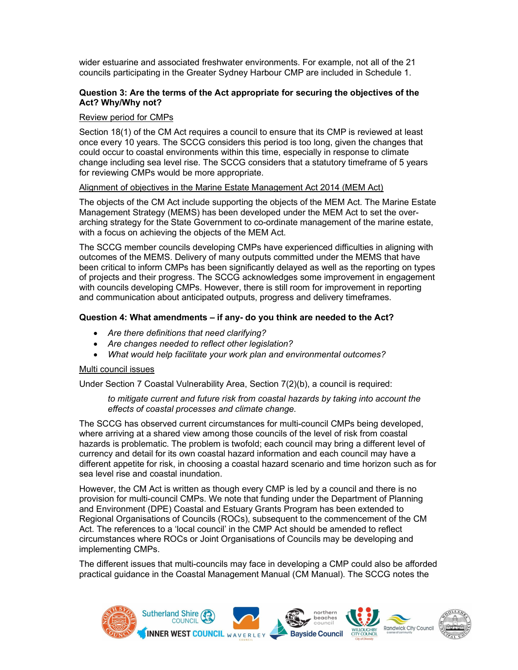wider estuarine and associated freshwater environments. For example, not all of the 21 councils participating in the Greater Sydney Harbour CMP are included in Schedule 1.

# Question 3: Are the terms of the Act appropriate for securing the objectives of the Act? Why/Why not?

### Review period for CMPs

Section 18(1) of the CM Act requires a council to ensure that its CMP is reviewed at least once every 10 years. The SCCG considers this period is too long, given the changes that could occur to coastal environments within this time, especially in response to climate change including sea level rise. The SCCG considers that a statutory timeframe of 5 years for reviewing CMPs would be more appropriate.

### Alignment of objectives in the Marine Estate Management Act 2014 (MEM Act)

The objects of the CM Act include supporting the objects of the MEM Act. The Marine Estate Management Strategy (MEMS) has been developed under the MEM Act to set the overarching strategy for the State Government to co-ordinate management of the marine estate, with a focus on achieving the objects of the MEM Act.

The SCCG member councils developing CMPs have experienced difficulties in aligning with outcomes of the MEMS. Delivery of many outputs committed under the MEMS that have been critical to inform CMPs has been significantly delayed as well as the reporting on types of projects and their progress. The SCCG acknowledges some improvement in engagement with councils developing CMPs. However, there is still room for improvement in reporting and communication about anticipated outputs, progress and delivery timeframes.

## Question 4: What amendments – if any- do you think are needed to the Act?

- Are there definitions that need clarifying?
- Are changes needed to reflect other legislation?
- What would help facilitate your work plan and environmental outcomes?

#### Multi council issues

Under Section 7 Coastal Vulnerability Area, Section 7(2)(b), a council is required:

### to mitigate current and future risk from coastal hazards by taking into account the effects of coastal processes and climate change.

The SCCG has observed current circumstances for multi-council CMPs being developed, where arriving at a shared view among those councils of the level of risk from coastal hazards is problematic. The problem is twofold; each council may bring a different level of currency and detail for its own coastal hazard information and each council may have a different appetite for risk, in choosing a coastal hazard scenario and time horizon such as for sea level rise and coastal inundation.

However, the CM Act is written as though every CMP is led by a council and there is no provision for multi-council CMPs. We note that funding under the Department of Planning and Environment (DPE) Coastal and Estuary Grants Program has been extended to Regional Organisations of Councils (ROCs), subsequent to the commencement of the CM Act. The references to a 'local council' in the CMP Act should be amended to reflect circumstances where ROCs or Joint Organisations of Councils may be developing and implementing CMPs.

The different issues that multi-councils may face in developing a CMP could also be afforded practical guidance in the Coastal Management Manual (CM Manual). The SCCG notes the

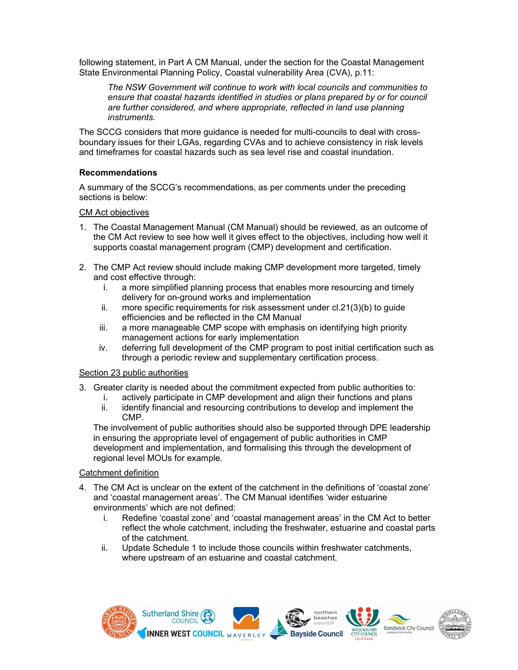following statement, in Part A CM Manual, under the section for the Coastal Management State Environmental Planning Policy, Coastal vulnerability Area (CVA), p.11:

The NSW Government will continue to work with local councils and communities to ensure that coastal hazards identified in studies or plans prepared by or for council are further considered, and where appropriate, reflected in land use planning instruments.

The SCCG considers that more guidance is needed for multi-councils to deal with crossboundary issues for their LGAs, regarding CVAs and to achieve consistency in risk levels and timeframes for coastal hazards such as sea level rise and coastal inundation.

# Recommendations

A summary of the SCCG's recommendations, as per comments under the preceding sections is below:

# CM Act objectives

- 1. The Coastal Management Manual (CM Manual) should be reviewed, as an outcome of the CM Act review to see how well it gives effect to the objectives, including how well it supports coastal management program (CMP) development and certification.
- 2. The CMP Act review should include making CMP development more targeted, timely and cost effective through:
	- i. a more simplified planning process that enables more resourcing and timely delivery for on-ground works and implementation
	- ii. more specific requirements for risk assessment under cl.21(3)(b) to guide efficiencies and be reflected in the CM Manual
	- iii. a more manageable CMP scope with emphasis on identifying high priority management actions for early implementation
	- iv. deferring full development of the CMP program to post initial certification such as through a periodic review and supplementary certification process.

## Section 23 public authorities

- 3. Greater clarity is needed about the commitment expected from public authorities to:
	- i. actively participate in CMP development and align their functions and plans ii. identify financial and resourcing contributions to develop and implement the CMP.

The involvement of public authorities should also be supported through DPE leadership in ensuring the appropriate level of engagement of public authorities in CMP development and implementation, and formalising this through the development of regional level MOUs for example.

## Catchment definition

- 4. The CM Act is unclear on the extent of the catchment in the definitions of 'coastal zone' and 'coastal management areas'. The CM Manual identifies 'wider estuarine environments' which are not defined:
	- i. Redefine 'coastal zone' and 'coastal management areas' in the CM Act to better reflect the whole catchment, including the freshwater, estuarine and coastal parts of the catchment.
	- ii. Update Schedule 1 to include those councils within freshwater catchments, where upstream of an estuarine and coastal catchment.